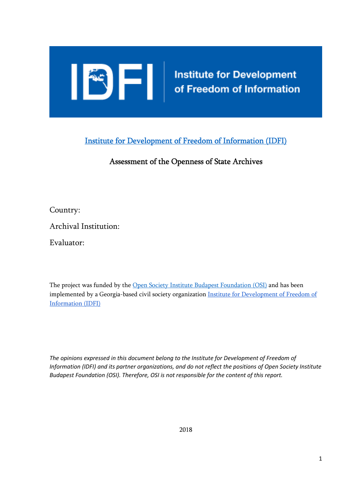

Institute for Development of Freedom of Information (IDFI)

# Assessment of the Openness of State Archives

Country:

Archival Institution:

Evaluator:

The project was funded by the Open Society Institute Budapest Foundation (OSI) and has been implemented by a Georgia-based civil society organization **Institute for Development of Freedom of** Information (IDFI)

The opinions expressed in this document belong to the Institute for Development of Freedom of *Information (IDFI) and its partner organizations, and do not reflect the positions of Open Society Institute Budapest Foundation (OSI). Therefore, OSI is not responsible for the content of this report.*

 $\mathbf{r}$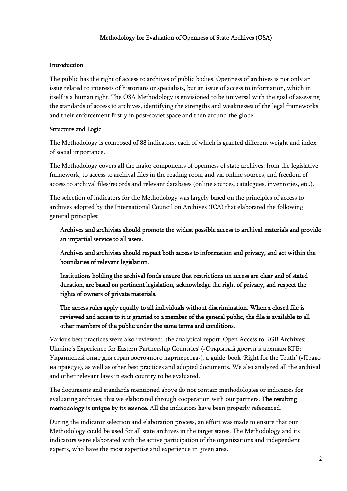#### Methodology for Evaluation of Openness of State Archives (OSA)

#### Introduction

The public has the right of access to archives of public bodies. Openness of archives is not only an issue related to interests of historians or specialists, but an issue of access to information, which in itself is a human right. The OSA Methodology is envisioned to be universal with the goal of assessing the standards of access to archives, identifying the strengths and weaknesses of the legal frameworks and their enforcement firstly in post-soviet space and then around the globe.

### Structure and Logic

The Methodology is composed of 88 indicators, each of which is granted different weight and index of social importance.

The Methodology covers all the major components of openness of state archives: from the legislative framework, to access to archival files in the reading room and via online sources, and freedom of access to archival files/records and relevant databases (online sources, catalogues, inventories, etc.).

The selection of indicators for the Methodology was largely based on the principles of access to archives adopted by the International Council on Archives (ICA) that elaborated the following general principles:

## Archives and archivists should promote the widest possible access to archival materials and provide an impartial service to all users.

Archives and archivists should respect both access to information and privacy, and act within the boundaries of relevant legislation.

Institutions holding the archival fonds ensure that restrictions on access are clear and of stated duration, are based on pertinent legislation, acknowledge the right of privacy, and respect the rights of owners of private materials.

# The access rules apply equally to all individuals without discrimination. When a closed file is reviewed and access to it is granted to a member of the general public, the file is available to all other members of the public under the same terms and conditions.

Various best practices were also reviewed: the analytical report 'Open Access to KGB Archives: Ukraine's Experience for Eastern Partnership Countries' («Открытый доступ к архивам КГБ: Украинский опыт для стран восточного партнерства»), a guide-book 'Right for the Truth' («Право на правду»), as well as other best practices and adopted documents. We also analyzed all the archival and other relevant laws in each country to be evaluated.

The documents and standards mentioned above do not contain methodologies or indicators for evaluating archives; this we elaborated through cooperation with our partners. The resulting methodology is unique by its essence. All the indicators have been properly referenced.

During the indicator selection and elaboration process, an effort was made to ensure that our Methodology could be used for all state archives in the target states. The Methodology and its indicators were elaborated with the active participation of the organizations and independent experts, who have the most expertise and experience in given area.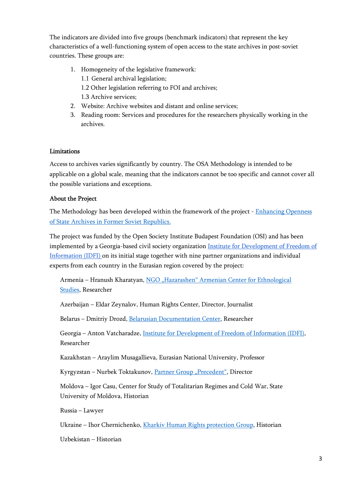The indicators are divided into five groups (benchmark indicators) that represent the key characteristics of a well-functioning system of open access to the state archives in post-soviet countries. These groups are:

### 1. Homogeneity of the legislative framework: 1.1 General archival legislation; 1.2 Other legislation referring to FOI and archives; 1.3 Archive services;

- 2. Website: Archive websites and distant and online services;
- 3. Reading room: Services and procedures for the researchers physically working in the archives.

#### Limitations

Access to archives varies significantly by country. The OSA Methodology is intended to be applicable on a global scale, meaning that the indicators cannot be too specific and cannot cover all the possible variations and exceptions.

### About the Project

The Methodology has been developed within the framework of the project - Enhancing Openness of State Archives in Former Soviet Republics.

The project was funded by the Open Society Institute Budapest Foundation (OSI) and has been implemented by a Georgia-based civil society organization Institute for Development of Freedom of Information (IDFI) on its initial stage together with nine partner organizations and individual experts from each country in the Eurasian region covered by the project:

Armenia – Hranush Kharatyan, NGO "Hazarashen" Armenian Center for Ethnological Studies, Researcher

Azerbaijan – Eldar Zeynalov, Human Rights Center, Director, Journalist

Belarus – Dmitriy Drozd, Belarusian Documentation Center, Researcher

Georgia – Anton Vatcharadze, Institute for Development of Freedom of Information (IDFI), Researcher

Kazakhstan – Araylim Musagallieva, Eurasian National University, Professor

Kyrgyzstan – Nurbek Toktakunov, Partner Group "Precedent", Director

Moldova – Igor Casu, Center for Study of Totalitarian Regimes and Cold War, State University of Moldova, Historian

Russia – Lawyer

Ukraine – Ihor Chernichenko, Kharkiv Human Rights protection Group, Historian

Uzbekistan – Historian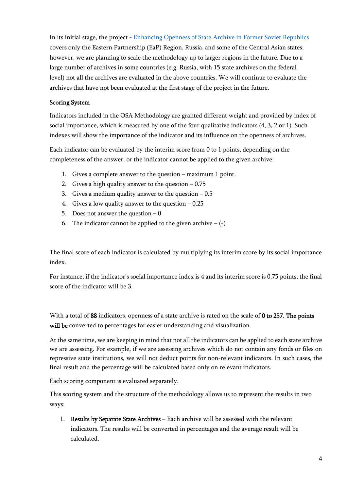In its initial stage, the project - Enhancing Openness of State Archive in Former Soviet Republics covers only the Eastern Partnership (EaP) Region, Russia, and some of the Central Asian states; however, we are planning to scale the methodology up to larger regions in the future. Due to a large number of archives in some countries (e.g. Russia, with 15 state archives on the federal level) not all the archives are evaluated in the above countries. We will continue to evaluate the archives that have not been evaluated at the first stage of the project in the future.

### Scoring System

Indicators included in the OSA Methodology are granted different weight and provided by index of social importance, which is measured by one of the four qualitative indicators (4, 3, 2 or 1). Such indexes will show the importance of the indicator and its influence on the openness of archives.

Each indicator can be evaluated by the interim score from 0 to 1 points, depending on the completeness of the answer, or the indicator cannot be applied to the given archive:

- 1. Gives a complete answer to the question maximum 1 point.
- 2. Gives a high quality answer to the question  $-0.75$
- 3. Gives a medium quality answer to the question  $-0.5$
- 4. Gives a low quality answer to the question  $-0.25$
- 5. Does not answer the question  $-0$
- 6. The indicator cannot be applied to the given archive  $-(-)$

The final score of each indicator is calculated by multiplying its interim score by its social importance index.

For instance, if the indicator's social importance index is 4 and its interim score is 0.75 points, the final score of the indicator will be 3.

With a total of 88 indicators, openness of a state archive is rated on the scale of  $0$  to 257. The points will be converted to percentages for easier understanding and visualization.

At the same time, we are keeping in mind that not all the indicators can be applied to each state archive we are assessing. For example, if we are assessing archives which do not contain any fonds or files on repressive state institutions, we will not deduct points for non-relevant indicators. In such cases, the final result and the percentage will be calculated based only on relevant indicators.

Each scoring component is evaluated separately.

This scoring system and the structure of the methodology allows us to represent the results in two ways:

1. Results by Separate State Archives – Each archive will be assessed with the relevant indicators. The results will be converted in percentages and the average result will be calculated.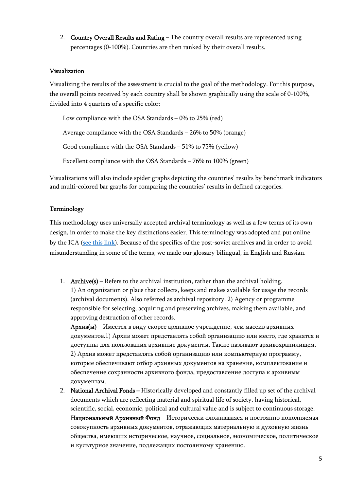2. Country Overall Results and Rating – The country overall results are represented using percentages (0-100%). Countries are then ranked by their overall results.

#### Visualization

Visualizing the results of the assessment is crucial to the goal of the methodology. For this purpose, the overall points received by each country shall be shown graphically using the scale of 0-100%, divided into 4 quarters of a specific color:

Low compliance with the OSA Standards – 0% to 25% (red) Average compliance with the OSA Standards – 26% to 50% (orange) Good compliance with the OSA Standards – 51% to 75% (yellow) Excellent compliance with the OSA Standards – 76% to 100% (green)

Visualizations will also include spider graphs depicting the countries' results by benchmark indicators and multi-colored bar graphs for comparing the countries' results in defined categories.

#### Terminology

This methodology uses universally accepted archival terminology as well as a few terms of its own design, in order to make the key distinctions easier. This terminology was adopted and put online by the ICA (see this link). Because of the specifics of the post-soviet archives and in order to avoid misunderstanding in some of the terms, we made our glossary bilingual, in English and Russian.

1. Archive( $s$ ) – Refers to the archival institution, rather than the archival holding. 1) An organization or place that collects, keeps and makes available for usage the records (archival documents). Also referred as archival repository. 2) Agency or programme responsible for selecting, acquiring and preserving archives, making them available, and approving destruction of other records.

Архив(ы) – Имеется в виду скорее архивное учреждение, чем массив архивных документов.1) Архив может представлять собой организацию или место, где хранятся и доступны для пользования архивные документы. Также называют архивохранилищем. 2) Архив может представлять собой организацию или компьютерную программу, которые обеспечивают отбор архивных документов на хранение, комплектование и обеспечение сохранности архивного фонда, предоставление доступа к архивным документам.

2. National Archival Fonds – Historically developed and constantly filled up set of the archival documents which are reflecting material and spiritual life of society, having historical, scientific, social, economic, political and cultural value and is subject to continuous storage. Национальный Архивный Фонд – Исторически сложившаяся и постоянно пополняемая совокупность архивных документов, отражающих материальную и духовную жизнь общества, имеющих историческое, научное, социальное, экономическое, политическое и культурное значение, подлежащих постоянному хранению.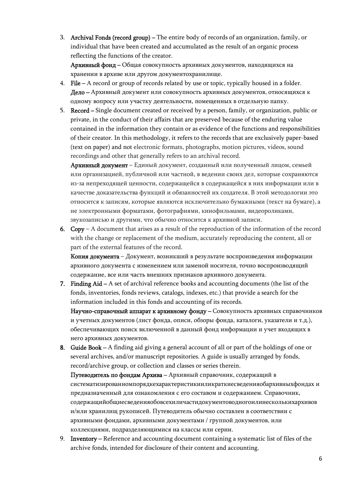3. Archival Fonds (record group) – The entire body of records of an organization, family, or individual that have been created and accumulated as the result of an organic process reflecting the functions of the creator.

Архивный фонд – Общая совокупность архивных документов, находящихся на хранении в архиве или другом документохранилище.

- 4. File A record or group of records related by use or topic, typically housed in a folder. Дело – Архивный документ или совокупность архивных документов, относящихся к одному вопросу или участку деятельности, помещенных в отдельную папку.
- 5. Record Single document created or received by a person, family, or organization, public or private, in the conduct of their affairs that are preserved because of the enduring value contained in the information they contain or as evidence of the functions and responsibilities of their creator. In this methodology, it refers to the records that are exclusively paper-based (text on paper) and not electronic formats, photographs, motion pictures, videos, sound recordings and other that generally refers to an archival record.

Архивный документ – Единый документ, созданный или полученный лицом, семьей или организацией, публичной или частной, в ведении своих дел, которые сохраняются из-за непреходящей ценности, содержащейся в содержащейся в них информации или в качестве доказательства функций и обязанностей их создателя. В этой методологии это относится к записям, которые являются исключительно бумажными (текст на бумаге), а не электронными форматами, фотографиями, кинофильмами, видеороликами, звукозаписью и другими, что обычно относится к архивной записи.

6. Copy – A document that arises as a result of the reproduction of the information of the record with the change or replacement of the medium, accurately reproducing the content, all or part of the external features of the record.

Копия документа – Документ, возникший в результате воспроизведения информации архивного документа с изменением или заменой носителя, точно воспроизводящий содержание, все или часть внешних признаков архивного документа.

7. Finding Aid – A set of archival reference books and accounting documents (the list of the fonds, inventories, fonds reviews, catalogs, indexes, etc.) that provide a search for the information included in this fonds and accounting of its records.

Научно-справочный аппарат к архивному фонду – Совокупность архивных справочников и учетных документов (лист фонда, описи, обзоры фонда, каталоги, указатели и т.д.), обеспечивающих поиск включенной в данный фонд информации и учет входящих в него архивных документов.

- 8. Guide Book A finding aid giving a general account of all or part of the holdings of one or several archives, and/or manuscript repositories. A guide is usually arranged by fonds, record/archive group, or collection and classes or series therein. Путеводитель по фондам Архива – Архивный справочник, содержащий в систематизированномпорядкехарактеристикииликраткиесведенияобархивныхфондах и предназначенный для ознакомления с его составом и содержанием. Справочник, содержащийобщиесведенияобовсехиличастидокументоводногоилинесколькихархивов и/или хранилищ рукописей. Путеводитель обычно составлен в соответствии с архивными фондами, архивными документами / группой документов, или
- 9. Inventory Reference and accounting document containing a systematic list of files of the archive fonds, intended for disclosure of their content and accounting.

коллекциями, подразделяющимися на классы или серии.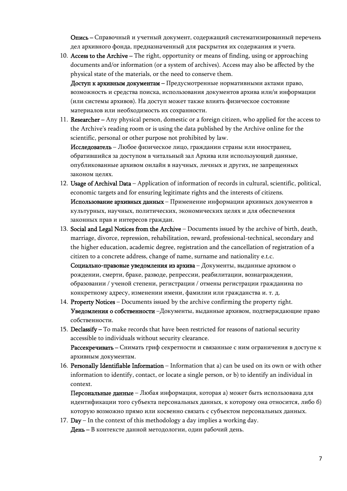Опись – Справочный и учетный документ, содержащий систематизированный перечень дел архивного фонда, предназначенный для раскрытия их содержания и учета.

10. Access to the Archive – The right, opportunity or means of finding, using or approaching documents and/or information (or a system of archives). Access may also be affected by the physical state of the materials, or the need to conserve them.

Доступ к архивным документам – Предусмотренные нормативными актами право, возможность и средства поиска, использования документов архива или/и информации (или системы архивов). На доступ может также влиять физическое состояние материалов или необходимость их сохранности.

11. Researcher – Any physical person, domestic or a foreign citizen, who applied for the access to the Archive's reading room or is using the data published by the Archive online for the scientific, personal or other purpose not prohibited by law.

Исследователь – Любое физическое лицо, гражданин страны или иностранец, обратившийся за доступом в читальный зал Архива или использующий данные, опубликованные архивом онлайн в научных, личных и других, не запрещенных законом целях.

- 12. Usage of Archival Data Application of information of records in cultural, scientific, political, economic targets and for ensuring legitimate rights and the interests of citizens. Использование архивных данных – Применение информации архивных документов в культурных, научных, политических, экономических целях и для обеспечения законных прав и интересов граждан.
- 13. Social and Legal Notices from the Archive Documents issued by the archive of birth, death, marriage, divorce, repression, rehabilitation, reward, professional-technical, secondary and the higher education, academic degree, registration and the cancellation of registration of a citizen to a concrete address, change of name, surname and nationality e.t.c. Социально-правовые уведомления из архива – Документы, выданные архивом о рождении, смерти, браке, разводе, репрессии, реабилитации, вознаграждении, образовании / ученой степени, регистрации / отмены регистрации гражданина по
- конкретному адресу, изменении имени, фамилии или гражданства и. т. д. 14. Property Notices – Documents issued by the archive confirming the property right. Уведомления о собственности –Документы, выданные архивом, подтверждающие право собственности.
- 15. Declassify To make records that have been restricted for reasons of national security accessible to individuals without security clearance. Рассекречивать - Снимать гриф секретности и связанные с ним ограничения в доступе к архивным документам.
- 16. Personally Identifiable Information Information that a) can be used on its own or with other information to identify, contact, or locate a single person, or b) to identify an individual in context.

Персональные данные – Любая информация, которая а) может быть использована для идентификации того субъекта персональных данных, к которому она относится, либо б) которую возможно прямо или косвенно связать с субъектом персональных данных.

17. Day – In the context of this methodology a day implies a working day. День – В контексте данной методологии, один рабочий день.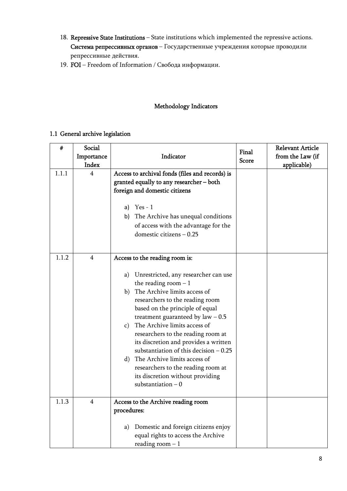- 18. Repressive State Institutions State institutions which implemented the repressive actions. Система репрессивных органов – Государственные учреждения которые проводили репрессивные действия.
- 19. FOI Freedom of Information / Свобода информации.

### Methodology Indicators

#### 1.1 General archive legislation

| #     | Social<br>Importance<br>Index | Indicator                                                                                                                                                                                                                                                                                                                                                                                                                                                                                                                                                 | Final<br><b>Score</b> | <b>Relevant Article</b><br>from the Law (if<br>applicable) |
|-------|-------------------------------|-----------------------------------------------------------------------------------------------------------------------------------------------------------------------------------------------------------------------------------------------------------------------------------------------------------------------------------------------------------------------------------------------------------------------------------------------------------------------------------------------------------------------------------------------------------|-----------------------|------------------------------------------------------------|
| 1.1.1 | 4                             | Access to archival fonds (files and records) is<br>granted equally to any researcher - both<br>foreign and domestic citizens<br>a) $Yes - 1$<br>b) The Archive has unequal conditions<br>of access with the advantage for the<br>domestic citizens - 0.25                                                                                                                                                                                                                                                                                                 |                       |                                                            |
| 1.1.2 | $\overline{4}$                | Access to the reading room is:<br>Unrestricted, any researcher can use<br>a)<br>the reading room $-1$<br>b) The Archive limits access of<br>researchers to the reading room<br>based on the principle of equal<br>treatment guaranteed by $law - 0.5$<br>c) The Archive limits access of<br>researchers to the reading room at<br>its discretion and provides a written<br>substantiation of this decision $-0.25$<br>The Archive limits access of<br>d)<br>researchers to the reading room at<br>its discretion without providing<br>substantiation $-0$ |                       |                                                            |
| 1.1.3 | $\overline{4}$                | Access to the Archive reading room<br>procedures:<br>Domestic and foreign citizens enjoy<br>a)<br>equal rights to access the Archive<br>reading room $-1$                                                                                                                                                                                                                                                                                                                                                                                                 |                       |                                                            |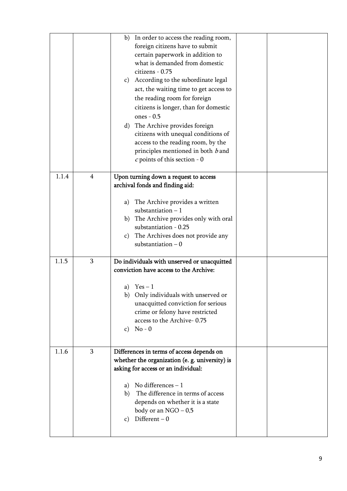|       |                | b) In order to access the reading room,                                   |  |
|-------|----------------|---------------------------------------------------------------------------|--|
|       |                | foreign citizens have to submit                                           |  |
|       |                | certain paperwork in addition to                                          |  |
|       |                | what is demanded from domestic                                            |  |
|       |                | citizens - 0.75                                                           |  |
|       |                | c) According to the subordinate legal                                     |  |
|       |                | act, the waiting time to get access to                                    |  |
|       |                | the reading room for foreign                                              |  |
|       |                | citizens is longer, than for domestic                                     |  |
|       |                | ones - 0.5                                                                |  |
|       |                | d) The Archive provides foreign                                           |  |
|       |                | citizens with unequal conditions of                                       |  |
|       |                | access to the reading room, by the                                        |  |
|       |                | principles mentioned in both $b$ and                                      |  |
|       |                | $c$ points of this section - 0                                            |  |
|       |                |                                                                           |  |
| 1.1.4 | $\overline{4}$ | Upon turning down a request to access                                     |  |
|       |                | archival fonds and finding aid:                                           |  |
|       |                |                                                                           |  |
|       |                | The Archive provides a written<br>a)                                      |  |
|       |                | substantiation $-1$                                                       |  |
|       |                | b) The Archive provides only with oral<br>substantiation - 0.25           |  |
|       |                |                                                                           |  |
|       |                | The Archives does not provide any<br>$\mathbf{c})$<br>substantiation $-0$ |  |
|       |                |                                                                           |  |
| 1.1.5 | 3              | Do individuals with unserved or unacquitted                               |  |
|       |                | conviction have access to the Archive:                                    |  |
|       |                |                                                                           |  |
|       |                | a) $Yes-1$                                                                |  |
|       |                | Only individuals with unserved or<br>b)                                   |  |
|       |                | unacquitted conviction for serious                                        |  |
|       |                | crime or felony have restricted                                           |  |
|       |                | access to the Archive-0.75                                                |  |
|       |                | $No - 0$<br>$\mathbf{c})$                                                 |  |
|       |                |                                                                           |  |
| 1.1.6 | 3              | Differences in terms of access depends on                                 |  |
|       |                | whether the organization (e. g. university) is                            |  |
|       |                | asking for access or an individual:                                       |  |
|       |                |                                                                           |  |
|       |                | No differences - 1<br>a)                                                  |  |
|       |                | The difference in terms of access<br>b)                                   |  |
|       |                | depends on whether it is a state                                          |  |
|       |                | body or an $NGO - 0.5$                                                    |  |
|       |                |                                                                           |  |
|       |                | Different $-0$<br>C)                                                      |  |
|       |                |                                                                           |  |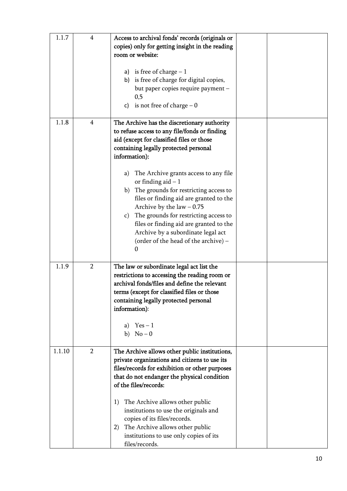| 1.1.7  | 4              | Access to archival fonds' records (originals or<br>copies) only for getting insight in the reading<br>room or website:                                                                                                                                                                                                                                                                                                                          |  |
|--------|----------------|-------------------------------------------------------------------------------------------------------------------------------------------------------------------------------------------------------------------------------------------------------------------------------------------------------------------------------------------------------------------------------------------------------------------------------------------------|--|
|        |                | a) is free of charge $-1$<br>b) is free of charge for digital copies,<br>but paper copies require payment -<br>0,5<br>is not free of charge $-0$<br>c)                                                                                                                                                                                                                                                                                          |  |
| 1.1.8  | $\overline{4}$ | The Archive has the discretionary authority<br>to refuse access to any file/fonds or finding<br>aid (except for classified files or those<br>containing legally protected personal<br>information):                                                                                                                                                                                                                                             |  |
|        |                | The Archive grants access to any file<br>a)<br>or finding aid $-1$<br>The grounds for restricting access to<br>b)<br>files or finding aid are granted to the<br>Archive by the $law - 0.75$<br>The grounds for restricting access to<br>$\mathbf{c})$<br>files or finding aid are granted to the<br>Archive by a subordinate legal act<br>(order of the head of the archive) -<br>0                                                             |  |
| 1.1.9  | $\overline{2}$ | The law or subordinate legal act list the<br>restrictions to accessing the reading room or<br>archival fonds/files and define the relevant<br>terms (except for classified files or those<br>containing legally protected personal<br>information):<br>$Yes-1$<br>a)<br>$No-0$<br>b)                                                                                                                                                            |  |
| 1.1.10 | $\overline{2}$ | The Archive allows other public institutions,<br>private organizations and citizens to use its<br>files/records for exhibition or other purposes<br>that do not endanger the physical condition<br>of the files/records:<br>The Archive allows other public<br>1)<br>institutions to use the originals and<br>copies of its files/records.<br>The Archive allows other public<br>2)<br>institutions to use only copies of its<br>files/records. |  |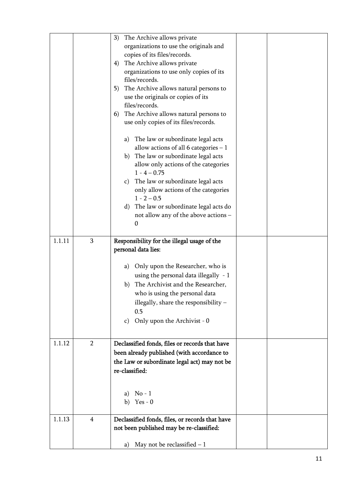|        |                | 3)<br>The Archive allows private                |  |
|--------|----------------|-------------------------------------------------|--|
|        |                | organizations to use the originals and          |  |
|        |                | copies of its files/records.                    |  |
|        |                | The Archive allows private<br>4)                |  |
|        |                | organizations to use only copies of its         |  |
|        |                | files/records.                                  |  |
|        |                | The Archive allows natural persons to<br>5)     |  |
|        |                | use the originals or copies of its              |  |
|        |                | files/records.                                  |  |
|        |                | The Archive allows natural persons to<br>6)     |  |
|        |                | use only copies of its files/records.           |  |
|        |                | The law or subordinate legal acts<br>a)         |  |
|        |                | allow actions of all 6 categories $-1$          |  |
|        |                | b) The law or subordinate legal acts            |  |
|        |                | allow only actions of the categories            |  |
|        |                | $1 - 4 - 0.75$                                  |  |
|        |                | The law or subordinate legal acts<br>C)         |  |
|        |                | only allow actions of the categories            |  |
|        |                | $1 - 2 - 0.5$                                   |  |
|        |                | The law or subordinate legal acts do<br>d)      |  |
|        |                | not allow any of the above actions -            |  |
|        |                | 0                                               |  |
| 1.1.11 | 3              | Responsibility for the illegal usage of the     |  |
|        |                | personal data lies:                             |  |
|        |                |                                                 |  |
|        |                | Only upon the Researcher, who is<br>a)          |  |
|        |                | using the personal data illegally $-1$          |  |
|        |                | The Archivist and the Researcher,<br>b)         |  |
|        |                | who is using the personal data                  |  |
|        |                | illegally, share the responsibility -           |  |
|        |                | 0.5                                             |  |
|        |                | Only upon the Archivist - 0                     |  |
|        |                | $\mathbf{C}$ )                                  |  |
|        |                |                                                 |  |
| 1.1.12 | $\overline{2}$ | Declassified fonds, files or records that have  |  |
|        |                | been already published (with accordance to      |  |
|        |                | the Law or subordinate legal act) may not be    |  |
|        |                | re-classified:                                  |  |
|        |                |                                                 |  |
|        |                |                                                 |  |
|        |                |                                                 |  |
|        |                | $No-1$<br>a)<br>b) Yes - $0$                    |  |
|        |                |                                                 |  |
| 1.1.13 | $\overline{4}$ | Declassified fonds, files, or records that have |  |
|        |                | not been published may be re-classified:        |  |
|        |                | May not be reclassified $-1$<br>a)              |  |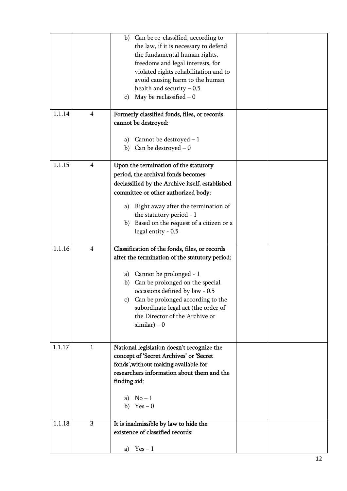|        |                | b) Can be re-classified, according to<br>the law, if it is necessary to defend<br>the fundamental human rights,<br>freedoms and legal interests, for<br>violated rights rehabilitation and to<br>avoid causing harm to the human<br>health and security $-0.5$<br>May be reclassified $-0$<br>$\mathbf{c})$                                             |  |
|--------|----------------|---------------------------------------------------------------------------------------------------------------------------------------------------------------------------------------------------------------------------------------------------------------------------------------------------------------------------------------------------------|--|
| 1.1.14 | $\overline{4}$ | Formerly classified fonds, files, or records<br>cannot be destroyed:<br>Cannot be destroyed $-1$<br>a)<br>Can be destroyed $-0$<br>b)                                                                                                                                                                                                                   |  |
| 1.1.15 | $\overline{4}$ | Upon the termination of the statutory<br>period, the archival fonds becomes<br>declassified by the Archive itself, established<br>committee or other authorized body:<br>a) Right away after the termination of<br>the statutory period - 1<br>Based on the request of a citizen or a<br>b)<br>legal entity - 0.5                                       |  |
| 1.1.16 | $\overline{4}$ | Classification of the fonds, files, or records<br>after the termination of the statutory period:<br>Cannot be prolonged - 1<br>a)<br>Can be prolonged on the special<br>b)<br>occasions defined by law - 0.5<br>c) Can be prolonged according to the<br>subordinate legal act (the order of<br>the Director of the Archive or<br>$\text{similar}$ ) – 0 |  |
| 1.1.17 | $\mathbf{1}$   | National legislation doesn't recognize the<br>concept of 'Secret Archives' or 'Secret<br>fonds', without making available for<br>researchers information about them and the<br>finding aid:<br>a) $No-1$<br>b) $Yes - 0$                                                                                                                                |  |
| 1.1.18 | 3              | It is inadmissible by law to hide the<br>existence of classified records:<br>$Yes - 1$<br>a)                                                                                                                                                                                                                                                            |  |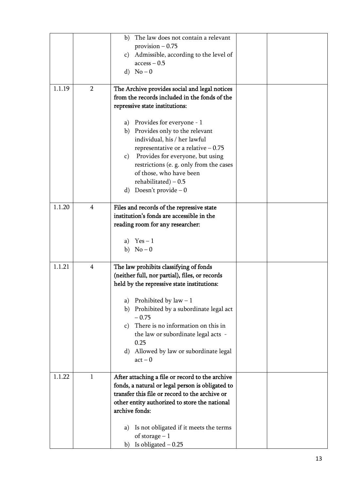|        |                | The law does not contain a relevant<br>b)              |  |
|--------|----------------|--------------------------------------------------------|--|
|        |                | provision $-0.75$                                      |  |
|        |                | c) Admissible, according to the level of               |  |
|        |                | $access - 0.5$                                         |  |
|        |                | d) $No-0$                                              |  |
| 1.1.19 | $\overline{2}$ | The Archive provides social and legal notices          |  |
|        |                | from the records included in the fonds of the          |  |
|        |                | repressive state institutions:                         |  |
|        |                |                                                        |  |
|        |                | a) Provides for everyone - 1                           |  |
|        |                | b) Provides only to the relevant                       |  |
|        |                | individual, his / her lawful                           |  |
|        |                | representative or a relative $-0.75$                   |  |
|        |                | c) Provides for everyone, but using                    |  |
|        |                | restrictions (e. g. only from the cases                |  |
|        |                | of those, who have been                                |  |
|        |                | rehabilitated) $-0.5$                                  |  |
|        |                | Doesn't provide $-0$<br>d)                             |  |
| 1.1.20 | $\overline{4}$ | Files and records of the repressive state              |  |
|        |                | institution's fonds are accessible in the              |  |
|        |                | reading room for any researcher:                       |  |
|        |                |                                                        |  |
|        |                | a) $Yes-1$                                             |  |
|        |                | b) $No-0$                                              |  |
| 1.1.21 | 4              | The law prohibits classifying of fonds                 |  |
|        |                | (neither full, nor partial), files, or records         |  |
|        |                | held by the repressive state institutions:             |  |
|        |                |                                                        |  |
|        |                | Prohibited by $law - 1$<br>a)                          |  |
|        |                | Prohibited by a subordinate legal act<br>b)<br>$-0.75$ |  |
|        |                | There is no information on this in<br>$\mathbf{C}$ )   |  |
|        |                | the law or subordinate legal acts -                    |  |
|        |                | 0.25                                                   |  |
|        |                | Allowed by law or subordinate legal<br>d)              |  |
|        |                | $act - 0$                                              |  |
| 1.1.22 | $\mathbf{1}$   | After attaching a file or record to the archive        |  |
|        |                | fonds, a natural or legal person is obligated to       |  |
|        |                | transfer this file or record to the archive or         |  |
|        |                | other entity authorized to store the national          |  |
|        |                | archive fonds:                                         |  |
|        |                |                                                        |  |
|        |                | Is not obligated if it meets the terms<br>a)           |  |
|        |                | of storage $-1$                                        |  |
|        |                | Is obligated $-0.25$<br>b)                             |  |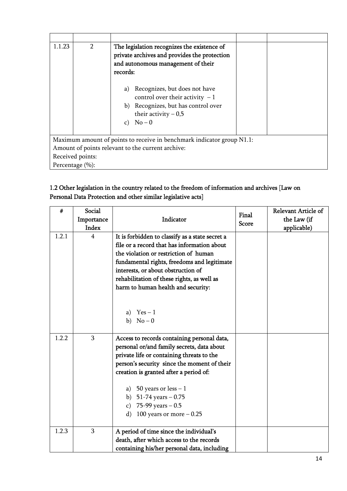| 1.1.23 | $\overline{2}$                                                         | The legislation recognizes the existence of<br>private archives and provides the protection<br>and autonomous management of their<br>records:        |  |  |  |  |
|--------|------------------------------------------------------------------------|------------------------------------------------------------------------------------------------------------------------------------------------------|--|--|--|--|
|        |                                                                        | Recognizes, but does not have<br>a)<br>control over their activity $-1$<br>b) Recognizes, but has control over<br>their activity $-0.5$<br>c) $No-0$ |  |  |  |  |
|        |                                                                        |                                                                                                                                                      |  |  |  |  |
|        | Maximum amount of points to receive in benchmark indicator group N1.1: |                                                                                                                                                      |  |  |  |  |
|        | Amount of points relevant to the current archive:                      |                                                                                                                                                      |  |  |  |  |
|        | Received points:                                                       |                                                                                                                                                      |  |  |  |  |
|        | Percentage (%):                                                        |                                                                                                                                                      |  |  |  |  |

# 1.2 Other legislation in the country related to the freedom of information and archives [Law on Personal Data Protection and other similar legislative acts]

| #     | Social<br>Importance<br>Index | Indicator                                                                                                                                                                                                                                                                                                                                        | Final<br><b>Score</b> | Relevant Article of<br>the Law (if<br>applicable) |
|-------|-------------------------------|--------------------------------------------------------------------------------------------------------------------------------------------------------------------------------------------------------------------------------------------------------------------------------------------------------------------------------------------------|-----------------------|---------------------------------------------------|
| 1.2.1 | $\overline{4}$                | It is forbidden to classify as a state secret a<br>file or a record that has information about<br>the violation or restriction of human<br>fundamental rights, freedoms and legitimate<br>interests, or about obstruction of<br>rehabilitation of these rights, as well as<br>harm to human health and security:<br>a) $Yes-1$<br>b) $No-0$      |                       |                                                   |
| 1.2.2 | 3                             | Access to records containing personal data,<br>personal or/and family secrets, data about<br>private life or containing threats to the<br>person's security since the moment of their<br>creation is granted after a period of:<br>a) 50 years or less $-1$<br>b) $51-74$ years $-0.75$<br>c) 75-99 years $-0.5$<br>d) 100 years or more $-0.25$ |                       |                                                   |
| 1.2.3 | 3                             | A period of time since the individual's<br>death, after which access to the records<br>containing his/her personal data, including                                                                                                                                                                                                               |                       |                                                   |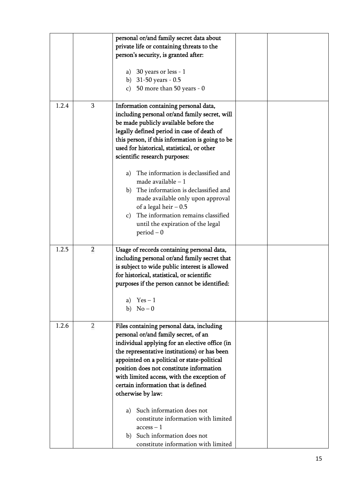|       |                | personal or/and family secret data about            |  |
|-------|----------------|-----------------------------------------------------|--|
|       |                | private life or containing threats to the           |  |
|       |                | person's security, is granted after:                |  |
|       |                |                                                     |  |
|       |                | a) 30 years or less - $1$                           |  |
|       |                | b) $31-50$ years - 0.5                              |  |
|       |                | c) 50 more than 50 years - $0$                      |  |
|       |                |                                                     |  |
| 1.2.4 | $\overline{3}$ | Information containing personal data,               |  |
|       |                | including personal or/and family secret, will       |  |
|       |                | be made publicly available before the               |  |
|       |                | legally defined period in case of death of          |  |
|       |                |                                                     |  |
|       |                | this person, if this information is going to be     |  |
|       |                | used for historical, statistical, or other          |  |
|       |                | scientific research purposes:                       |  |
|       |                | The information is declassified and<br>a)           |  |
|       |                | made available $-1$                                 |  |
|       |                | The information is declassified and                 |  |
|       |                | b)                                                  |  |
|       |                | made available only upon approval                   |  |
|       |                | of a legal heir $-0.5$                              |  |
|       |                | The information remains classified<br>$\mathbf{c})$ |  |
|       |                | until the expiration of the legal                   |  |
|       |                | $period - 0$                                        |  |
|       |                |                                                     |  |
| 1.2.5 | $\overline{2}$ | Usage of records containing personal data,          |  |
|       |                | including personal or/and family secret that        |  |
|       |                | is subject to wide public interest is allowed       |  |
|       |                | for historical, statistical, or scientific          |  |
|       |                | purposes if the person cannot be identified:        |  |
|       |                | a) $Yes-1$                                          |  |
|       |                | b) $No-0$                                           |  |
|       |                |                                                     |  |
| 1.2.6 | $\overline{2}$ | Files containing personal data, including           |  |
|       |                | personal or/and family secret, of an                |  |
|       |                | individual applying for an elective office (in      |  |
|       |                | the representative institutions) or has been        |  |
|       |                | appointed on a political or state-political         |  |
|       |                | position does not constitute information            |  |
|       |                | with limited access, with the exception of          |  |
|       |                | certain information that is defined                 |  |
|       |                | otherwise by law:                                   |  |
|       |                |                                                     |  |
|       |                | a) Such information does not                        |  |
|       |                | constitute information with limited                 |  |
|       |                | $access - 1$                                        |  |
|       |                | b) Such information does not                        |  |
|       |                | constitute information with limited                 |  |
|       |                |                                                     |  |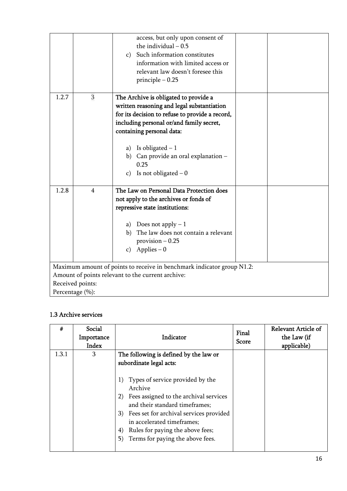|       |                                                                                                                             | access, but only upon consent of<br>the individual $-0.5$<br>c) Such information constitutes<br>information with limited access or<br>relevant law doesn't foresee this<br>principle $-0.25$                                     |  |  |  |  |
|-------|-----------------------------------------------------------------------------------------------------------------------------|----------------------------------------------------------------------------------------------------------------------------------------------------------------------------------------------------------------------------------|--|--|--|--|
| 1.2.7 | 3                                                                                                                           | The Archive is obligated to provide a<br>written reasoning and legal substantiation<br>for its decision to refuse to provide a record,<br>including personal or/and family secret,<br>containing personal data:                  |  |  |  |  |
|       |                                                                                                                             | a) Is obligated $-1$<br>b) Can provide an oral explanation -<br>0.25<br>c) Is not obligated $-0$                                                                                                                                 |  |  |  |  |
| 1.2.8 | $\overline{4}$                                                                                                              | The Law on Personal Data Protection does<br>not apply to the archives or fonds of<br>repressive state institutions:<br>a) Does not apply $-1$<br>b) The law does not contain a relevant<br>$provision - 0.25$<br>c) Applies $-0$ |  |  |  |  |
|       | Maximum amount of points to receive in benchmark indicator group N1.2:<br>Amount of points relevant to the current archive: |                                                                                                                                                                                                                                  |  |  |  |  |
|       | Received points:                                                                                                            |                                                                                                                                                                                                                                  |  |  |  |  |
|       | Percentage (%):                                                                                                             |                                                                                                                                                                                                                                  |  |  |  |  |

# 1.3 Archive services

| #     | Social<br>Importance<br>Index | Indicator                                                                                                                                                                                                                                                                                     | Final<br><b>Score</b> | <b>Relevant Article of</b><br>the Law (if<br>applicable) |
|-------|-------------------------------|-----------------------------------------------------------------------------------------------------------------------------------------------------------------------------------------------------------------------------------------------------------------------------------------------|-----------------------|----------------------------------------------------------|
| 1.3.1 | 3                             | The following is defined by the law or                                                                                                                                                                                                                                                        |                       |                                                          |
|       |                               | subordinate legal acts:                                                                                                                                                                                                                                                                       |                       |                                                          |
|       |                               | 1) Types of service provided by the<br>Archive<br>2) Fees assigned to the archival services<br>and their standard timeframes;<br>3) Fees set for archival services provided<br>in accelerated timeframes;<br>Rules for paying the above fees;<br>4)<br>Terms for paying the above fees.<br>5) |                       |                                                          |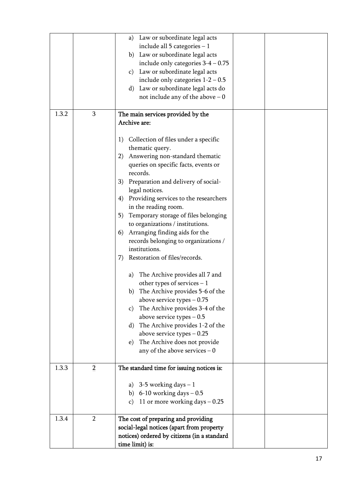|       |                | Law or subordinate legal acts<br>a)              |  |
|-------|----------------|--------------------------------------------------|--|
|       |                | include all $5$ categories $-1$                  |  |
|       |                | b) Law or subordinate legal acts                 |  |
|       |                | include only categories $3-4-0.75$               |  |
|       |                | Law or subordinate legal acts<br>$\mathbf{c})$   |  |
|       |                | include only categories $1-2-0.5$                |  |
|       |                | Law or subordinate legal acts do<br>$\rm d)$     |  |
|       |                | not include any of the above $-0$                |  |
|       |                |                                                  |  |
| 1.3.2 | 3              | The main services provided by the                |  |
|       |                | Archive are:                                     |  |
|       |                |                                                  |  |
|       |                | Collection of files under a specific<br>1)       |  |
|       |                | thematic query.                                  |  |
|       |                | Answering non-standard thematic<br>2)            |  |
|       |                | queries on specific facts, events or             |  |
|       |                | records.                                         |  |
|       |                |                                                  |  |
|       |                | Preparation and delivery of social-<br>3)        |  |
|       |                | legal notices.                                   |  |
|       |                | Providing services to the researchers<br>4)      |  |
|       |                | in the reading room.                             |  |
|       |                | Temporary storage of files belonging<br>5)       |  |
|       |                | to organizations / institutions.                 |  |
|       |                | Arranging finding aids for the<br>6)             |  |
|       |                | records belonging to organizations /             |  |
|       |                | institutions.                                    |  |
|       |                | Restoration of files/records.<br>7)              |  |
|       |                | The Archive provides all 7 and<br>a)             |  |
|       |                | other types of services $-1$                     |  |
|       |                |                                                  |  |
|       |                | b) The Archive provides 5-6 of the               |  |
|       |                | above service types $-0.75$                      |  |
|       |                | The Archive provides 3-4 of the<br>$\mathbf{c})$ |  |
|       |                | above service types $-0.5$                       |  |
|       |                | The Archive provides 1-2 of the<br>$\rm d$       |  |
|       |                | above service types $-0.25$                      |  |
|       |                | The Archive does not provide<br>e)               |  |
|       |                | any of the above services $-0$                   |  |
| 1.3.3 | $\overline{2}$ | The standard time for issuing notices is:        |  |
|       |                |                                                  |  |
|       |                | 3-5 working days $-1$<br>a)                      |  |
|       |                | b) 6-10 working days $-0.5$                      |  |
|       |                | 11 or more working days $-0.25$<br>$\mathbf{C}$  |  |
|       |                |                                                  |  |
| 1.3.4 | $\overline{2}$ | The cost of preparing and providing              |  |
|       |                | social-legal notices (apart from property        |  |
|       |                | notices) ordered by citizens (in a standard      |  |
|       |                | time limit) is:                                  |  |
|       |                |                                                  |  |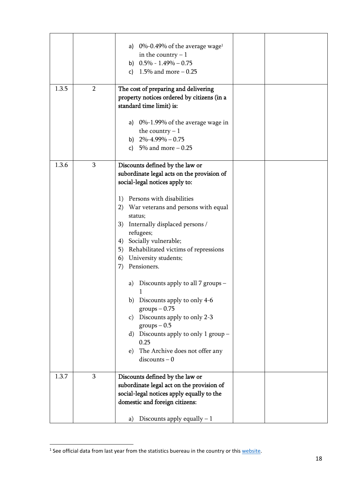|       |                | 0%-0.49% of the average wage <sup>1</sup><br>a)<br>in the country $-1$<br>b) $0.5\% - 1.49\% - 0.75$<br>1.5% and more $-0.25$<br>c)                                                                                                                                               |  |
|-------|----------------|-----------------------------------------------------------------------------------------------------------------------------------------------------------------------------------------------------------------------------------------------------------------------------------|--|
| 1.3.5 | $\overline{2}$ | The cost of preparing and delivering<br>property notices ordered by citizens (in a<br>standard time limit) is:                                                                                                                                                                    |  |
|       |                | a) $0\%$ -1.99% of the average wage in<br>the country $-1$<br>b) $2\% - 4.99\% - 0.75$<br>c) 5% and more $-0.25$                                                                                                                                                                  |  |
| 1.3.6 | 3              | Discounts defined by the law or<br>subordinate legal acts on the provision of<br>social-legal notices apply to:                                                                                                                                                                   |  |
|       |                | Persons with disabilities<br>1)<br>2) War veterans and persons with equal<br>status;<br>Internally displaced persons /<br>3)<br>refugees;<br>4) Socially vulnerable;<br>5) Rehabilitated victims of repressions<br>6) University students;<br>Pensioners.<br>7)                   |  |
|       |                | a) Discounts apply to all 7 groups –<br>b) Discounts apply to only 4-6<br>$groups - 0.75$<br>Discounts apply to only 2-3<br>$\mathbf{c})$<br>$groups - 0.5$<br>Discounts apply to only 1 group -<br>d)<br>0.25<br>The Archive does not offer any<br>$\epsilon$ )<br>$discounts-0$ |  |
| 1.3.7 | 3              | Discounts defined by the law or<br>subordinate legal act on the provision of<br>social-legal notices apply equally to the<br>domestic and foreign citizens:                                                                                                                       |  |
|       |                | Discounts apply equally $-1$<br>a)                                                                                                                                                                                                                                                |  |

<sup>&</sup>lt;sup>1</sup> See official data from last year from the statistics buereau in the country or this website.

<u>.</u>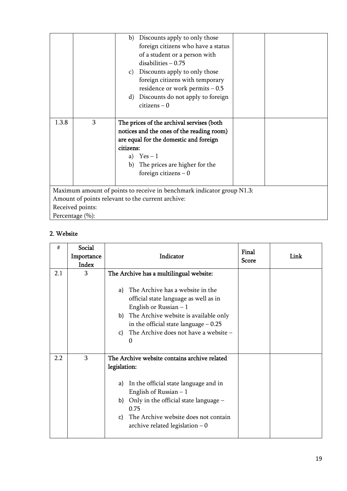| Discounts apply to only those<br>b)<br>foreign citizens who have a status<br>of a student or a person with |
|------------------------------------------------------------------------------------------------------------|
|                                                                                                            |
|                                                                                                            |
|                                                                                                            |
| $disabilities - 0.75$                                                                                      |
| Discounts apply to only those<br>C)                                                                        |
| foreign citizens with temporary                                                                            |
| residence or work permits $-0.5$                                                                           |
| Discounts do not apply to foreign<br>d)                                                                    |
| $citizens - 0$                                                                                             |
|                                                                                                            |
| 3<br>1.3.8<br>The prices of the archival servises (both                                                    |
| notices and the ones of the reading room)                                                                  |
| are equal for the domestic and foreign                                                                     |
| citizens:                                                                                                  |
| a) $Yes-1$                                                                                                 |
| The prices are higher for the<br>b)                                                                        |
| foreign citizens $-0$                                                                                      |
|                                                                                                            |
| Maximum amount of points to receive in benchmark indicator group N1.3:                                     |
| Amount of points relevant to the current archive:                                                          |
| Received points:                                                                                           |
| Percentage (%):                                                                                            |

## 2. Website

| #   | Social<br>Importance<br>Index | Indicator                                                                                                                                                                                                                                                                                    | Final<br><b>Score</b> | Link |
|-----|-------------------------------|----------------------------------------------------------------------------------------------------------------------------------------------------------------------------------------------------------------------------------------------------------------------------------------------|-----------------------|------|
| 2.1 | 3                             | The Archive has a multilingual website:<br>a) The Archive has a website in the<br>official state language as well as in<br>English or Russian $-1$<br>b) The Archive website is available only<br>in the official state language $-0.25$<br>The Archive does not have a website -<br>C)<br>0 |                       |      |
| 2.2 | 3                             | The Archive website contains archive related<br>legislation:<br>In the official state language and in<br>a)<br>English of Russian $-1$<br>b) Only in the official state language -<br>0.75<br>The Archive website does not contain<br>C)<br>archive related legislation $-0$                 |                       |      |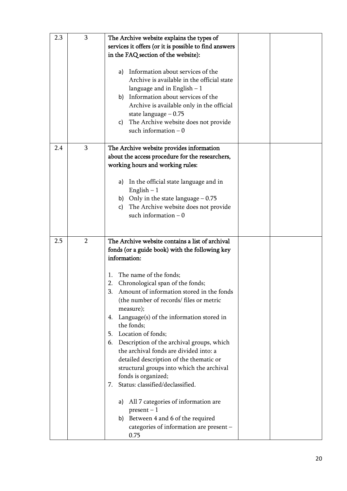| 2.3 | 3              | The Archive website explains the types of<br>services it offers (or it is possible to find answers<br>in the FAQ section of the website):<br>Information about services of the<br>a)<br>Archive is available in the official state<br>language and in English $-1$<br>b) Information about services of the<br>Archive is available only in the official<br>state language $-0.75$<br>c) The Archive website does not provide<br>such information $-0$                                                                                                                                                                                                                                                                                                                                                      |  |
|-----|----------------|------------------------------------------------------------------------------------------------------------------------------------------------------------------------------------------------------------------------------------------------------------------------------------------------------------------------------------------------------------------------------------------------------------------------------------------------------------------------------------------------------------------------------------------------------------------------------------------------------------------------------------------------------------------------------------------------------------------------------------------------------------------------------------------------------------|--|
| 2.4 | 3              | The Archive website provides information<br>about the access procedure for the researchers,<br>working hours and working rules:<br>In the official state language and in<br>a)<br>English $-1$<br>b) Only in the state language $-0.75$<br>The Archive website does not provide<br>c)<br>such information $-0$                                                                                                                                                                                                                                                                                                                                                                                                                                                                                             |  |
| 2.5 | $\overline{2}$ | The Archive website contains a list of archival<br>fonds (or a guide book) with the following key<br>information:<br>The name of the fonds;<br>1.<br>Chronological span of the fonds;<br>2.<br>3.<br>Amount of information stored in the fonds<br>(the number of records/ files or metric<br>measure);<br>Language(s) of the information stored in<br>4.<br>the fonds;<br>Location of fonds;<br>5.<br>6. Description of the archival groups, which<br>the archival fonds are divided into: a<br>detailed description of the thematic or<br>structural groups into which the archival<br>fonds is organized;<br>Status: classified/declassified.<br>7.<br>All 7 categories of information are<br>a)<br>$present-1$<br>b) Between 4 and 6 of the required<br>categories of information are present -<br>0.75 |  |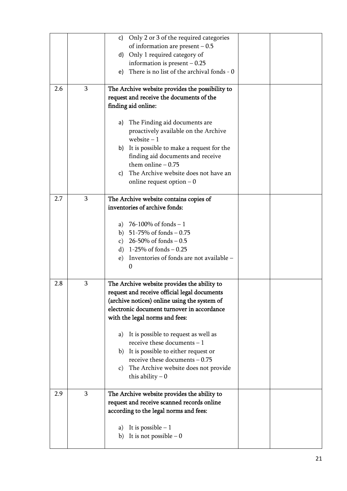|     |   | c) Only 2 or 3 of the required categories        |  |
|-----|---|--------------------------------------------------|--|
|     |   | of information are present $-0.5$                |  |
|     |   | Only 1 required category of<br>d)                |  |
|     |   | information is present $-0.25$                   |  |
|     |   | There is no list of the archival fonds - 0<br>e) |  |
| 2.6 | 3 | The Archive website provides the possibility to  |  |
|     |   | request and receive the documents of the         |  |
|     |   | finding aid online:                              |  |
|     |   | The Finding aid documents are<br>a)              |  |
|     |   | proactively available on the Archive             |  |
|     |   | website $-1$                                     |  |
|     |   | It is possible to make a request for the<br>b)   |  |
|     |   | finding aid documents and receive                |  |
|     |   | them online $-0.75$                              |  |
|     |   | The Archive website does not have an<br>C)       |  |
|     |   | online request option $-0$                       |  |
|     |   |                                                  |  |
| 2.7 | 3 | The Archive website contains copies of           |  |
|     |   | inventories of archive fonds:                    |  |
|     |   | a) 76-100% of fonds $-1$                         |  |
|     |   | b) $51-75\%$ of fonds $-0.75$                    |  |
|     |   | c) $26-50\%$ of fonds $-0.5$                     |  |
|     |   | d) $1-25\%$ of fonds $-0.25$                     |  |
|     |   | Inventories of fonds are not available -<br>e)   |  |
|     |   | 0                                                |  |
|     |   |                                                  |  |
| 2.8 | 3 | The Archive website provides the ability to      |  |
|     |   | request and receive official legal documents     |  |
|     |   | (archive notices) online using the system of     |  |
|     |   | electronic document turnover in accordance       |  |
|     |   | with the legal norms and fees:                   |  |
|     |   | It is possible to request as well as<br>a)       |  |
|     |   | receive these documents $-1$                     |  |
|     |   | b) It is possible to either request or           |  |
|     |   | receive these documents $-0.75$                  |  |
|     |   | The Archive website does not provide<br>C)       |  |
|     |   | this ability $-0$                                |  |
| 2.9 | 3 | The Archive website provides the ability to      |  |
|     |   | request and receive scanned records online       |  |
|     |   | according to the legal norms and fees:           |  |
|     |   |                                                  |  |
|     |   | It is possible $-1$<br>a)                        |  |
|     |   | It is not possible $-0$<br>b)                    |  |
|     |   |                                                  |  |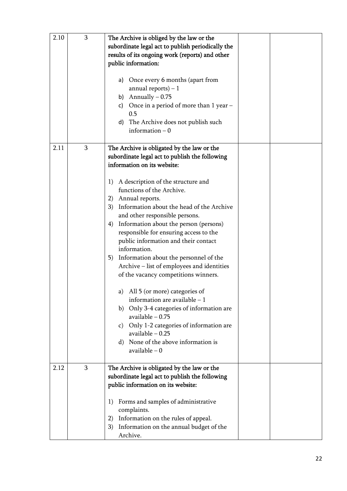| 2.10 | 3 | The Archive is obliged by the law or the<br>subordinate legal act to publish periodically the<br>results of its ongoing work (reports) and other<br>public information:<br>a) Once every 6 months (apart from<br>annual reports) $-1$<br>b) Annually $-0.75$<br>c) Once in a period of more than $1$ year $-$<br>0.5<br>d) The Archive does not publish such<br>information $-0$                                                                                                                                                                                                                                                                                                                                                                                                                                                                                               |  |
|------|---|--------------------------------------------------------------------------------------------------------------------------------------------------------------------------------------------------------------------------------------------------------------------------------------------------------------------------------------------------------------------------------------------------------------------------------------------------------------------------------------------------------------------------------------------------------------------------------------------------------------------------------------------------------------------------------------------------------------------------------------------------------------------------------------------------------------------------------------------------------------------------------|--|
| 2.11 | 3 | The Archive is obligated by the law or the<br>subordinate legal act to publish the following<br>information on its website:<br>A description of the structure and<br>1)<br>functions of the Archive.<br>2) Annual reports.<br>Information about the head of the Archive<br>3)<br>and other responsible persons.<br>Information about the person (persons)<br>4)<br>responsible for ensuring access to the<br>public information and their contact<br>information.<br>Information about the personnel of the<br>5)<br>Archive - list of employees and identities<br>of the vacancy competitions winners.<br>a) All 5 (or more) categories of<br>information are available $-1$<br>b) Only 3-4 categories of information are<br>available $-0.75$<br>c) Only 1-2 categories of information are<br>available $-0.25$<br>None of the above information is<br>d)<br>$available - 0$ |  |
| 2.12 | 3 | The Archive is obligated by the law or the<br>subordinate legal act to publish the following<br>public information on its website:<br>Forms and samples of administrative<br>1)<br>complaints.<br>Information on the rules of appeal.<br>2)<br>Information on the annual budget of the<br>3)<br>Archive.                                                                                                                                                                                                                                                                                                                                                                                                                                                                                                                                                                       |  |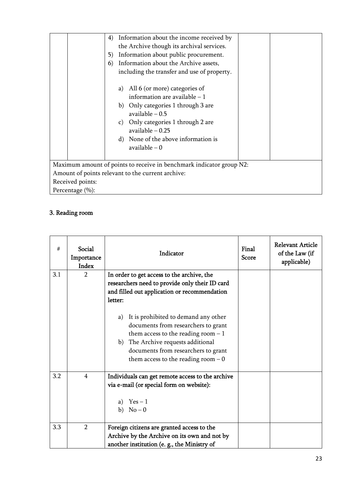|                                                   | Information about the income received by<br>4)                                                                                                                                                                                                  |  |  |  |  |
|---------------------------------------------------|-------------------------------------------------------------------------------------------------------------------------------------------------------------------------------------------------------------------------------------------------|--|--|--|--|
|                                                   | the Archive though its archival services.                                                                                                                                                                                                       |  |  |  |  |
|                                                   | Information about public procurement.<br>5)                                                                                                                                                                                                     |  |  |  |  |
|                                                   | Information about the Archive assets,<br>6)                                                                                                                                                                                                     |  |  |  |  |
|                                                   | including the transfer and use of property.                                                                                                                                                                                                     |  |  |  |  |
|                                                   | a) All 6 (or more) categories of<br>information are available $-1$<br>b) Only categories 1 through 3 are<br>available $-0.5$<br>c) Only categories 1 through 2 are<br>available – 0.25<br>d) None of the above information is<br>available $-0$ |  |  |  |  |
|                                                   | Maximum amount of points to receive in benchmark indicator group N2:                                                                                                                                                                            |  |  |  |  |
| Amount of points relevant to the current archive: |                                                                                                                                                                                                                                                 |  |  |  |  |
| Received points:                                  |                                                                                                                                                                                                                                                 |  |  |  |  |
| Percentage (%):                                   |                                                                                                                                                                                                                                                 |  |  |  |  |

# 3. Reading room

| #   | Social<br>Importance<br><b>Index</b> | Indicator                                                                                                                                                                                                                                                                                                                                                                                                    | Final<br><b>Score</b> | <b>Relevant Article</b><br>of the Law (if<br>applicable) |
|-----|--------------------------------------|--------------------------------------------------------------------------------------------------------------------------------------------------------------------------------------------------------------------------------------------------------------------------------------------------------------------------------------------------------------------------------------------------------------|-----------------------|----------------------------------------------------------|
| 3.1 | $\overline{2}$                       | In order to get access to the archive, the<br>researchers need to provide only their ID card<br>and filled out application or recommendation<br>letter:<br>It is prohibited to demand any other<br>a)<br>documents from researchers to grant<br>them access to the reading room $-1$<br>The Archive requests additional<br>b)<br>documents from researchers to grant<br>them access to the reading room $-0$ |                       |                                                          |
| 3.2 | $\overline{4}$                       | Individuals can get remote access to the archive<br>via e-mail (or special form on website):<br>a) $Yes-1$<br>b) $No-0$                                                                                                                                                                                                                                                                                      |                       |                                                          |
| 3.3 | $\overline{2}$                       | Foreign citizens are granted access to the<br>Archive by the Archive on its own and not by<br>another institution (e. g., the Ministry of                                                                                                                                                                                                                                                                    |                       |                                                          |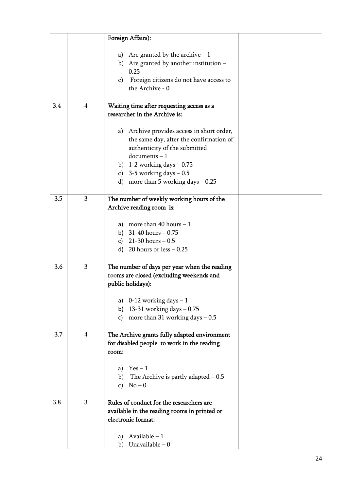|     |                | Foreign Affairs):                            |  |
|-----|----------------|----------------------------------------------|--|
|     |                |                                              |  |
|     |                | a) Are granted by the archive $-1$           |  |
|     |                | b) Are granted by another institution -      |  |
|     |                | 0.25                                         |  |
|     |                | Foreign citizens do not have access to<br>C) |  |
|     |                | the Archive - 0                              |  |
|     |                |                                              |  |
| 3.4 | $\overline{4}$ | Waiting time after requesting access as a    |  |
|     |                | researcher in the Archive is:                |  |
|     |                |                                              |  |
|     |                |                                              |  |
|     |                | a) Archive provides access in short order,   |  |
|     |                | the same day, after the confirmation of      |  |
|     |                | authenticity of the submitted                |  |
|     |                | $documents - 1$                              |  |
|     |                | b) $1-2$ working days $-0.75$                |  |
|     |                | c) 3-5 working days $-0.5$                   |  |
|     |                | d) more than 5 working days $-0.25$          |  |
|     | 3              |                                              |  |
| 3.5 |                | The number of weekly working hours of the    |  |
|     |                | Archive reading room is:                     |  |
|     |                | a) more than 40 hours $-1$                   |  |
|     |                |                                              |  |
|     |                | b) $31-40$ hours $-0.75$                     |  |
|     |                | c) $21-30$ hours $-0.5$                      |  |
|     |                | d) 20 hours or $less -0.25$                  |  |
| 3.6 | 3              | The number of days per year when the reading |  |
|     |                | rooms are closed (excluding weekends and     |  |
|     |                | public holidays):                            |  |
|     |                |                                              |  |
|     |                | a) $0-12$ working days $-1$                  |  |
|     |                | 13-31 working days $-0.75$<br>b)             |  |
|     |                | more than 31 working days $-0.5$<br>c)       |  |
|     |                |                                              |  |
| 3.7 | $\overline{4}$ | The Archive grants fully adapted environment |  |
|     |                | for disabled people to work in the reading   |  |
|     |                | room:                                        |  |
|     |                |                                              |  |
|     |                | a) $Yes-1$                                   |  |
|     |                | The Archive is partly adapted $-0.5$<br>b)   |  |
|     |                | $No-0$<br>$\mathbf{C}$ )                     |  |
|     |                |                                              |  |
| 3.8 | 3              | Rules of conduct for the researchers are     |  |
|     |                | available in the reading rooms in printed or |  |
|     |                | electronic format:                           |  |
|     |                |                                              |  |
|     |                | Available $-1$<br>a)                         |  |
|     |                | Unavailable $-0$<br>b)                       |  |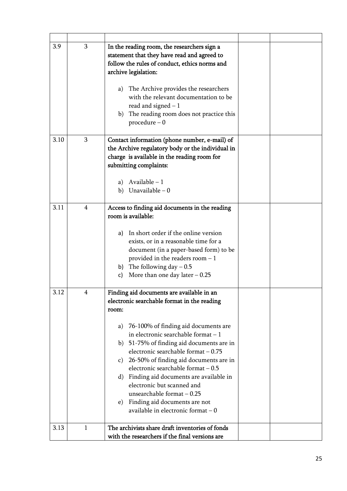| 3.9  | 3              | In the reading room, the researchers sign a<br>statement that they have read and agreed to<br>follow the rules of conduct, ethics norms and<br>archive legislation:<br>The Archive provides the researchers<br>a)<br>with the relevant documentation to be<br>read and signed $-1$<br>The reading room does not practice this<br>b)<br>$\emph{procedure} - 0$                                                                                                                                                                                             |  |
|------|----------------|-----------------------------------------------------------------------------------------------------------------------------------------------------------------------------------------------------------------------------------------------------------------------------------------------------------------------------------------------------------------------------------------------------------------------------------------------------------------------------------------------------------------------------------------------------------|--|
| 3.10 | 3              | Contact information (phone number, e-mail) of<br>the Archive regulatory body or the individual in<br>charge is available in the reading room for<br>submitting complaints:<br>a) Available $-1$<br>b) Unavailable $-0$                                                                                                                                                                                                                                                                                                                                    |  |
| 3.11 | $\overline{4}$ | Access to finding aid documents in the reading<br>room is available:<br>In short order if the online version<br>a)<br>exists, or in a reasonable time for a<br>document (in a paper-based form) to be<br>provided in the readers room $-1$<br>b) The following day $-0.5$<br>More than one day later $-0.25$<br>c)                                                                                                                                                                                                                                        |  |
| 3.12 | 4              | Finding aid documents are available in an<br>electronic searchable format in the reading<br>room:<br>76-100% of finding aid documents are<br>a)<br>in electronic searchable format $-1$<br>b) 51-75% of finding aid documents are in<br>electronic searchable format - 0.75<br>c) 26-50% of finding aid documents are in<br>electronic searchable format - 0.5<br>Finding aid documents are available in<br>d)<br>electronic but scanned and<br>unsearchable format $-0.25$<br>Finding aid documents are not<br>e)<br>available in electronic format $-0$ |  |
| 3.13 | 1              | The archivists share draft inventories of fonds<br>with the researchers if the final versions are                                                                                                                                                                                                                                                                                                                                                                                                                                                         |  |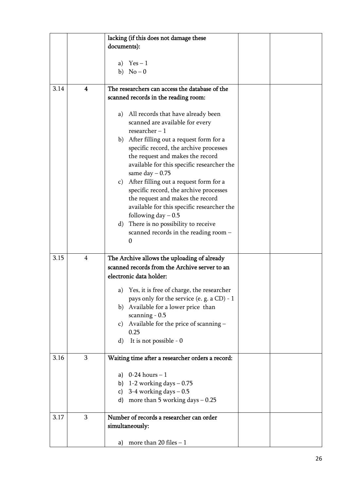|      |                         | lacking (if this does not damage these                          |  |
|------|-------------------------|-----------------------------------------------------------------|--|
|      |                         | documents):                                                     |  |
|      |                         |                                                                 |  |
|      |                         | a) $Yes-1$                                                      |  |
|      |                         | b) $No-0$                                                       |  |
|      |                         |                                                                 |  |
| 3.14 | $\overline{\mathbf{4}}$ | The researchers can access the database of the                  |  |
|      |                         | scanned records in the reading room:                            |  |
|      |                         |                                                                 |  |
|      |                         | a) All records that have already been                           |  |
|      |                         | scanned are available for every<br>researcher $-1$              |  |
|      |                         | b) After filling out a request form for a                       |  |
|      |                         | specific record, the archive processes                          |  |
|      |                         | the request and makes the record                                |  |
|      |                         | available for this specific researcher the                      |  |
|      |                         | same day $-0.75$                                                |  |
|      |                         | c) After filling out a request form for a                       |  |
|      |                         | specific record, the archive processes                          |  |
|      |                         | the request and makes the record                                |  |
|      |                         | available for this specific researcher the                      |  |
|      |                         | following day $-0.5$                                            |  |
|      |                         | There is no possibility to receive<br>$\rm d$                   |  |
|      |                         | scanned records in the reading room -                           |  |
|      |                         | $\theta$                                                        |  |
| 3.15 | 4                       | The Archive allows the uploading of already                     |  |
|      |                         | scanned records from the Archive server to an                   |  |
|      |                         | electronic data holder:                                         |  |
|      |                         |                                                                 |  |
|      |                         | a) Yes, it is free of charge, the researcher                    |  |
|      |                         | pays only for the service (e. g. a CD) - 1                      |  |
|      |                         | Available for a lower price than<br>b)                          |  |
|      |                         | scanning $-0.5$                                                 |  |
|      |                         | Available for the price of scanning -<br>$\mathbf{C}$ )<br>0.25 |  |
|      |                         | It is not possible - 0<br>d)                                    |  |
|      |                         |                                                                 |  |
| 3.16 | 3                       | Waiting time after a researcher orders a record:                |  |
|      |                         |                                                                 |  |
|      |                         | a) $0-24$ hours $-1$                                            |  |
|      |                         | b) $1-2$ working days $-0.75$                                   |  |
|      |                         | 3-4 working days $-0.5$<br>C)                                   |  |
|      |                         | more than 5 working days $-0.25$<br>d)                          |  |
| 3.17 | 3                       | Number of records a researcher can order                        |  |
|      |                         | simultaneously:                                                 |  |
|      |                         |                                                                 |  |
|      |                         | more than 20 files $-1$<br>a)                                   |  |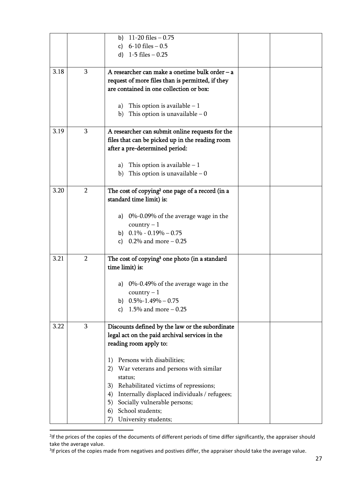|      |                | 11-20 files $-0.75$<br>b)<br>$6-10$ files $-0.5$<br>c)<br>d) $1-5$ files $-0.25$                                                                                                                                                                                                                                                                                                                                             |  |
|------|----------------|------------------------------------------------------------------------------------------------------------------------------------------------------------------------------------------------------------------------------------------------------------------------------------------------------------------------------------------------------------------------------------------------------------------------------|--|
| 3.18 | 3              | A researcher can make a onetime bulk order - a<br>request of more files than is permitted, if they<br>are contained in one collection or box:<br>a) This option is available $-1$<br>This option is unavailable $-0$<br>b)                                                                                                                                                                                                   |  |
| 3.19 | 3              | A researcher can submit online requests for the<br>files that can be picked up in the reading room<br>after a pre-determined period:<br>This option is available $-1$<br>a)<br>This option is unavailable $-0$<br>b)                                                                                                                                                                                                         |  |
| 3.20 | $\overline{2}$ | The cost of copying <sup>2</sup> one page of a record (in a<br>standard time limit) is:<br>a) $0\%$ -0.09% of the average wage in the<br>$country - 1$<br>b) $0.1\% - 0.19\% - 0.75$<br>c) $0.2\%$ and more $-0.25$                                                                                                                                                                                                          |  |
| 3.21 | $\overline{2}$ | The cost of copying <sup>3</sup> one photo (in a standard<br>time limit) is:<br>a) $0\%$ -0.49% of the average wage in the<br>$country - 1$<br>b) $0.5\% - 1.49\% - 0.75$<br>1.5% and more $-0.25$<br>c)                                                                                                                                                                                                                     |  |
| 3.22 | 3              | Discounts defined by the law or the subordinate<br>legal act on the paid archival services in the<br>reading room apply to:<br>Persons with disabilities;<br>1)<br>War veterans and persons with similar<br>2)<br>status;<br>Rehabilitated victims of repressions;<br>3)<br>Internally displaced individuals / refugees;<br>4)<br>Socially vulnerable persons;<br>5)<br>School students;<br>6)<br>University students;<br>7) |  |

<sup>&</sup>lt;sup>2</sup>If the prices of the copies of the documents of different periods of time differ significantly, the appraiser should take the average value.

<u>.</u>

<sup>&</sup>lt;sup>3</sup>If prices of the copies made from negatives and postives differ, the appraiser should take the average value.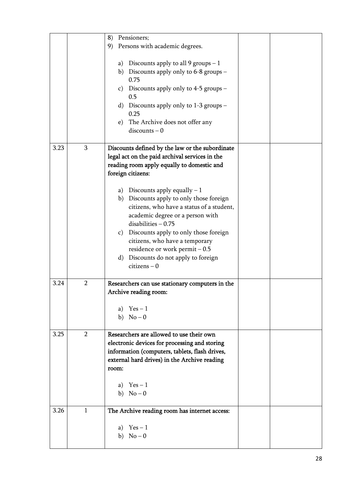|      |                | Pensioners;<br>8)                               |  |
|------|----------------|-------------------------------------------------|--|
|      |                | 9)<br>Persons with academic degrees.            |  |
|      |                |                                                 |  |
|      |                | a) Discounts apply to all 9 groups $-1$         |  |
|      |                | b) Discounts apply only to 6-8 groups –         |  |
|      |                | 0.75                                            |  |
|      |                | Discounts apply only to 4-5 groups –<br>c)      |  |
|      |                | 0.5                                             |  |
|      |                | Discounts apply only to 1-3 groups –<br>d)      |  |
|      |                | 0.25                                            |  |
|      |                | The Archive does not offer any<br>e)            |  |
|      |                | $discounts - 0$                                 |  |
| 3.23 | $\mathbf 3$    | Discounts defined by the law or the subordinate |  |
|      |                | legal act on the paid archival services in the  |  |
|      |                | reading room apply equally to domestic and      |  |
|      |                | foreign citizens:                               |  |
|      |                | a) Discounts apply equally $-1$                 |  |
|      |                | b) Discounts apply to only those foreign        |  |
|      |                | citizens, who have a status of a student,       |  |
|      |                | academic degree or a person with                |  |
|      |                | $disabilities - 0.75$                           |  |
|      |                | Discounts apply to only those foreign<br>c)     |  |
|      |                | citizens, who have a temporary                  |  |
|      |                | residence or work permit $-0.5$                 |  |
|      |                | Discounts do not apply to foreign<br>d)         |  |
|      |                | $citizens - 0$                                  |  |
| 3.24 | $\overline{2}$ | Researchers can use stationary computers in the |  |
|      |                | Archive reading room:                           |  |
|      |                |                                                 |  |
|      |                | a) $Yes-1$                                      |  |
|      |                | b) $No-0$                                       |  |
| 3.25 | $\overline{2}$ | Researchers are allowed to use their own        |  |
|      |                | electronic devices for processing and storing   |  |
|      |                | information (computers, tablets, flash drives,  |  |
|      |                | external hard drives) in the Archive reading    |  |
|      |                | room:                                           |  |
|      |                | $Yes-1$<br>a)                                   |  |
|      |                | b) $No-0$                                       |  |
|      |                |                                                 |  |
| 3.26 | $\mathbf{1}$   | The Archive reading room has internet access:   |  |
|      |                | $Yes-1$<br>a)                                   |  |
|      |                | b) $No-0$                                       |  |
|      |                |                                                 |  |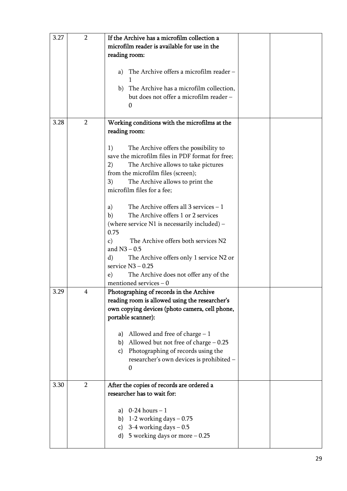| 3.27 | $\overline{2}$ | If the Archive has a microfilm collection a<br>microfilm reader is available for use in the<br>reading room:<br>The Archive offers a microfilm reader -<br>a)<br>b) The Archive has a microfilm collection,<br>but does not offer a microfilm reader -<br>$\Omega$                                                                                                                                                                                                                                                                                                                                                                                                                                                              |  |
|------|----------------|---------------------------------------------------------------------------------------------------------------------------------------------------------------------------------------------------------------------------------------------------------------------------------------------------------------------------------------------------------------------------------------------------------------------------------------------------------------------------------------------------------------------------------------------------------------------------------------------------------------------------------------------------------------------------------------------------------------------------------|--|
| 3.28 | $\overline{2}$ | Working conditions with the microfilms at the<br>reading room:<br>The Archive offers the possibility to<br>1)<br>save the microfilm files in PDF format for free;<br>2)<br>The Archive allows to take pictures<br>from the microfilm files (screen);<br>The Archive allows to print the<br>3)<br>microfilm files for a fee;<br>The Archive offers all $3$ services $-1$<br>a)<br>The Archive offers 1 or 2 services<br>b)<br>(where service $N1$ is necessarily included) –<br>0.75<br>The Archive offers both services N2<br>$\mathbf{c}$ )<br>and $N3 - 0.5$<br>$\rm d$<br>The Archive offers only 1 service N2 or<br>service $N3 - 0.25$<br>The Archive does not offer any of the<br>$\epsilon$ )<br>mentioned services $-0$ |  |
| 3.29 | Δ              | Photographing of records in the Archive<br>reading room is allowed using the researcher's<br>own copying devices (photo camera, cell phone,<br>portable scanner):<br>a) Allowed and free of charge $-1$<br>b) Allowed but not free of charge $-0.25$<br>Photographing of records using the<br>c)<br>researcher's own devices is prohibited -<br>0                                                                                                                                                                                                                                                                                                                                                                               |  |
| 3.30 | $\overline{2}$ | After the copies of records are ordered a<br>researcher has to wait for:<br>a) $0-24$ hours $-1$<br>b) 1-2 working days $-0.75$<br>3-4 working days $-0.5$<br>c)<br>d) 5 working days or more $-0.25$                                                                                                                                                                                                                                                                                                                                                                                                                                                                                                                           |  |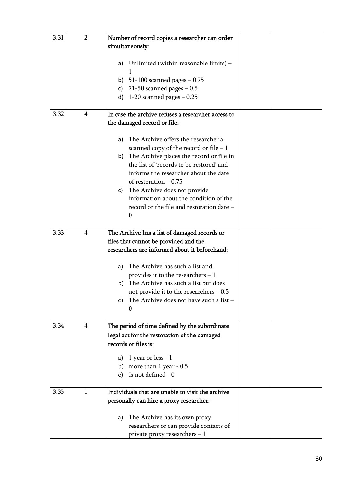| 3.31 | $\overline{2}$ | Number of record copies a researcher can order<br>simultaneously:<br>Unlimited (within reasonable limits) -<br>a)<br>b) $51-100$ scanned pages $-0.75$<br>21-50 scanned pages $-0.5$<br>c)<br>d) $1-20$ scanned pages $-0.25$                                                                                                                                                                                                                                                        |  |
|------|----------------|--------------------------------------------------------------------------------------------------------------------------------------------------------------------------------------------------------------------------------------------------------------------------------------------------------------------------------------------------------------------------------------------------------------------------------------------------------------------------------------|--|
| 3.32 | 4              | In case the archive refuses a researcher access to<br>the damaged record or file:<br>The Archive offers the researcher a<br>a)<br>scanned copy of the record or file $-1$<br>b) The Archive places the record or file in<br>the list of 'records to be restored' and<br>informs the researcher about the date<br>of restoration $-0.75$<br>The Archive does not provide<br>C)<br>information about the condition of the<br>record or the file and restoration date -<br>$\mathbf{0}$ |  |
| 3.33 | 4              | The Archive has a list of damaged records or<br>files that cannot be provided and the<br>researchers are informed about it beforehand:<br>The Archive has such a list and<br>a)<br>provides it to the researchers $-1$<br>The Archive has such a list but does<br>b)<br>not provide it to the researchers $-0.5$<br>The Archive does not have such a list -<br>C)<br>$\boldsymbol{0}$                                                                                                |  |
| 3.34 | $\overline{4}$ | The period of time defined by the subordinate<br>legal act for the restoration of the damaged<br>records or files is:<br>1 year or less - 1<br>a)<br>more than 1 year - 0.5<br>b)<br>Is not defined - 0<br>$\mathbf{C}$                                                                                                                                                                                                                                                              |  |
| 3.35 | $\mathbf{1}$   | Individuals that are unable to visit the archive<br>personally can hire a proxy researcher:<br>The Archive has its own proxy<br>a)<br>researchers or can provide contacts of<br>private proxy researchers $-1$                                                                                                                                                                                                                                                                       |  |